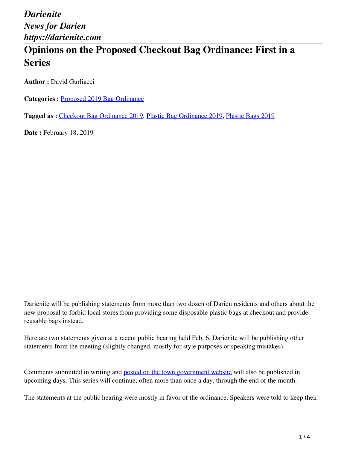# **Opinions on the Proposed Checkout Bag Ordinance: First in a Series**

**Author :** David Gurliacci

**Categories :** [Proposed 2019 Bag Ordinance](https://darienite.com/category/news/government-politics/proposed-2019-bag-ordinance)

**Tagged as :** Checkout Bag Ordinance 2019, Plastic Bag Ordinance 2019, Plastic Bags 2019

**Date : February 18, 2019** 

Darienite will be publishing statements from more than two dozen of Darien residents and others about the new proposal to forbid local stores from providing some disposable plastic bags at checkout and provide reusable bags instead.

Here are two statements given at a recent public hearing held Feb. 6. Darienite will be publishing other statements from the meeting (slightly changed, mostly for style purposes or speaking mistakes).

Comments submitted in writing and posted on the town government website will also be published in upcoming days. This series will continue, often more than once a day, through the end of the month.

The statements at the public hearing were mostly in favor of the ordinance. Speakers were told to keep their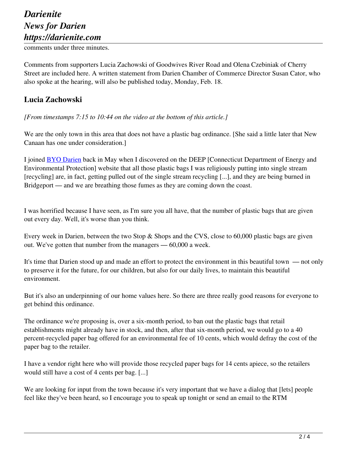# *Darienite News for Darien https://darienite.com*

comments under three minutes.

Comments from supporters Lucia Zachowski of Goodwives River Road and Olena Czebiniak of Cherry Street are included here. A written statement from Darien Chamber of Commerce Director Susan Cator, who also spoke at the hearing, will also be published today, Monday, Feb. 18.

#### **Lucia Zachowski**

*[From timestamps 7:15 to 10:44 on the video at the bottom of this article.]*

We are the only town in this area that does not have a plastic bag ordinance. [She said a little later that New Canaan has one under consideration.]

I joined BYO Darien back in May when I discovered on the DEEP [Connecticut Department of Energy and Environmental Protection] website that all those plastic bags I was religiously putting into single stream [recycling] are, in fact, getting pulled out of the single stream recycling [...], and they are being burned in Bridgeport — and we are breathing those fumes as they are coming down the coast.

I was horrified because I have seen, as I'm sure you all have, that the number of plastic bags that are given out every day. Well, it's worse than you think.

Every week in Darien, between the two Stop & Shops and the CVS, close to 60,000 plastic bags are given out. We've gotten that number from the managers — 60,000 a week.

It's time that Darien stood up and made an effort to protect the environment in this beautiful town — not only to preserve it for the future, for our children, but also for our daily lives, to maintain this beautiful environment.

But it's also an underpinning of our home values here. So there are three really good reasons for everyone to get behind this ordinance.

The ordinance we're proposing is, over a six-month period, to ban out the plastic bags that retail establishments might already have in stock, and then, after that six-month period, we would go to a 40 percent-recycled paper bag offered for an environmental fee of 10 cents, which would defray the cost of the paper bag to the retailer.

I have a vendor right here who will provide those recycled paper bags for 14 cents apiece, so the retailers would still have a cost of 4 cents per bag. [...]

We are looking for input from the town because it's very important that we have a dialog that [lets] people feel like they've been heard, so I encourage you to speak up tonight or send an email to the RTM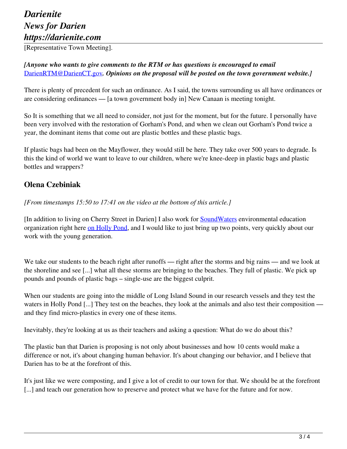# *Darienite News for Darien https://darienite.com*

[Representative Town Meeting].

#### *[Anyone who wants to give comments to the RTM or has questions is encouraged to email*  DarienRTM@DarienCT.gov*. Opinions on the proposal will be posted on the town government website.]*

There is plenty of precedent for such an ordinance. As I said, the towns surrounding us all have ordinances or are considering ordinances — [a town government body in] New Canaan is meeting tonight.

So It is something that we all need to consider, not just for the moment, but for the future. I personally have been very involved with the restoration of Gorham's Pond, and when we clean out Gorham's Pond twice a year, the dominant items that come out are plastic bottles and these plastic bags.

If plastic bags had been on the Mayflower, they would still be here. They take over 500 years to degrade. Is this the kind of world we want to leave to our children, where we're knee-deep in plastic bags and plastic bottles and wrappers?

### **Olena Czebiniak**

*[From timestamps 15:50 to 17:41 on the video at the bottom of this article.]*

[In addition to living on Cherry Street in Darien] I also work for SoundWaters environmental education organization right here on Holly Pond, and I would like to just bring up two points, very quickly about our work with the young generation.

We take our students to the beach right after runoffs — right after the storms and big rains — and we look at the shoreline and see [...] what all these storms are bringing to the beaches. They full of plastic. We pick up pounds and pounds of plastic bags – single-use are the biggest culprit.

When our students are going into the middle of Long Island Sound in our research vessels and they test the waters in Holly Pond [...] They test on the beaches, they look at the animals and also test their composition and they find micro-plastics in every one of these items.

Inevitably, they're looking at us as their teachers and asking a question: What do we do about this?

The plastic ban that Darien is proposing is not only about businesses and how 10 cents would make a difference or not, it's about changing human behavior. It's about changing our behavior, and I believe that Darien has to be at the forefront of this.

It's just like we were composting, and I give a lot of credit to our town for that. We should be at the forefront [...] and teach our generation how to preserve and protect what we have for the future and for now.